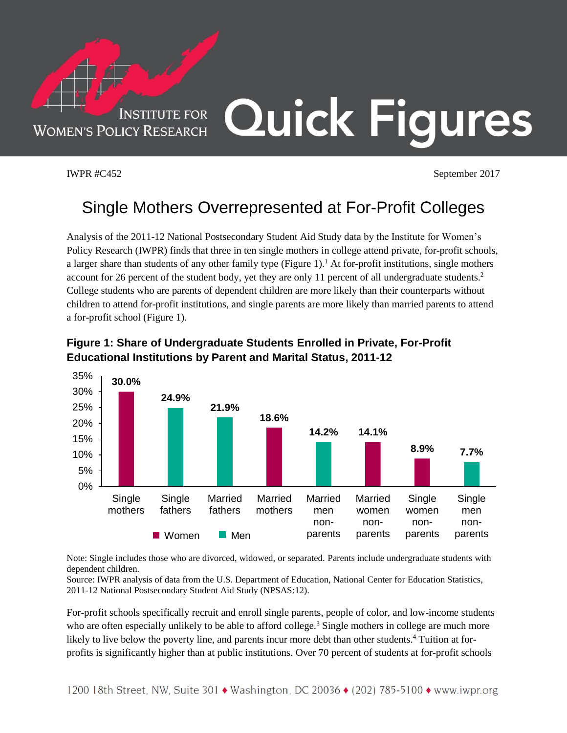

IWPR #C452 September 2017

## Single Mothers Overrepresented at For-Profit Colleges

Analysis of the 2011-12 National Postsecondary Student Aid Study data by the Institute for Women's Policy Research (IWPR) finds that three in ten single mothers in college attend private, for-profit schools, a larger share than students of any other family type (Figure 1).<sup>1</sup> At for-profit institutions, single mothers account for 26 percent of the student body, yet they are only 11 percent of all undergraduate students.<sup>2</sup> College students who are parents of dependent children are more likely than their counterparts without children to attend for-profit institutions, and single parents are more likely than married parents to attend a for-profit school (Figure 1).



## **Figure 1: Share of Undergraduate Students Enrolled in Private, For-Profit Educational Institutions by Parent and Marital Status, 2011-12**

Note: Single includes those who are divorced, widowed, or separated. Parents include undergraduate students with dependent children.

Source: IWPR analysis of data from the U.S. Department of Education, National Center for Education Statistics, 2011-12 National Postsecondary Student Aid Study (NPSAS:12).

For-profit schools specifically recruit and enroll single parents, people of color, and low-income students who are often especially unlikely to be able to afford college.<sup>3</sup> Single mothers in college are much more likely to live below the poverty line, and parents incur more debt than other students.<sup>4</sup> Tuition at forprofits is significantly higher than at public institutions. Over 70 percent of students at for-profit schools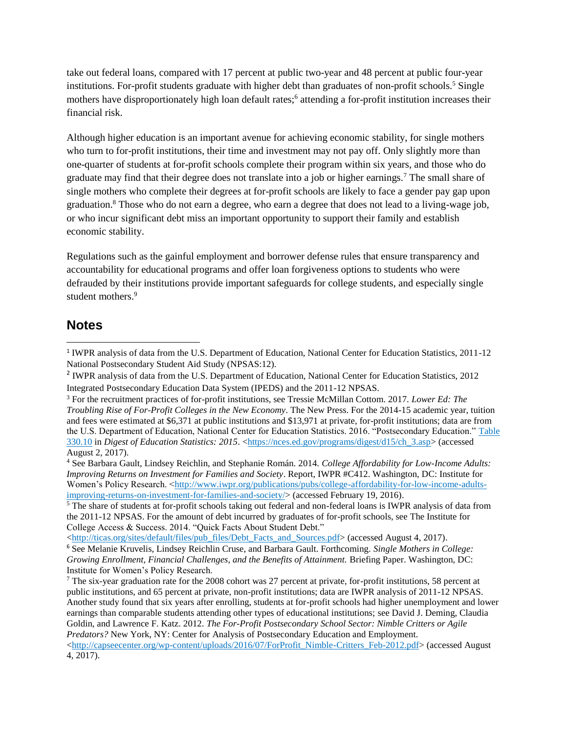take out federal loans, compared with 17 percent at public two-year and 48 percent at public four-year institutions. For-profit students graduate with higher debt than graduates of non-profit schools.<sup>5</sup> Single mothers have disproportionately high loan default rates;<sup>6</sup> attending a for-profit institution increases their financial risk.

Although higher education is an important avenue for achieving economic stability, for single mothers who turn to for-profit institutions, their time and investment may not pay off. Only slightly more than one-quarter of students at for-profit schools complete their program within six years, and those who do graduate may find that their degree does not translate into a job or higher earnings.<sup>7</sup> The small share of single mothers who complete their degrees at for-profit schools are likely to face a gender pay gap upon graduation.<sup>8</sup> Those who do not earn a degree, who earn a degree that does not lead to a living-wage job, or who incur significant debt miss an important opportunity to support their family and establish economic stability.

Regulations such as the gainful employment and borrower defense rules that ensure transparency and accountability for educational programs and offer loan forgiveness options to students who were defrauded by their institutions provide important safeguards for college students, and especially single student mothers. 9

## **Notes**

 $\overline{\phantom{a}}$ 

<sup>&</sup>lt;sup>1</sup> IWPR analysis of data from the U.S. Department of Education, National Center for Education Statistics, 2011-12 National Postsecondary Student Aid Study (NPSAS:12).

<sup>&</sup>lt;sup>2</sup> IWPR analysis of data from the U.S. Department of Education, National Center for Education Statistics, 2012 Integrated Postsecondary Education Data System (IPEDS) and the 2011-12 NPSAS.

<sup>3</sup> For the recruitment practices of for-profit institutions, see Tressie McMillan Cottom. 2017. *Lower Ed: The Troubling Rise of For-Profit Colleges in the New Economy*. The New Press. For the 2014-15 academic year, tuition and fees were estimated at \$6,371 at public institutions and \$13,971 at private, for-profit institutions; data are from the U.S. Department of Education, National Center for Education Statistics. 2016. "Postsecondary Education." [Table](https://nces.ed.gov/programs/digest/d15/tables/dt15_330.10.asp?referrer=report)  [330.10](https://nces.ed.gov/programs/digest/d15/tables/dt15_330.10.asp?referrer=report) in *Digest of Education Statistics: 2015*. [<https://nces.ed.gov/programs/digest/d15/ch\\_3.asp>](https://nces.ed.gov/programs/digest/d15/ch_3.asp) (accessed August 2, 2017).

<sup>4</sup> See Barbara Gault, Lindsey Reichlin, and Stephanie Román. 2014. *College Affordability for Low-Income Adults: Improving Returns on Investment for Families and Society*. Report, IWPR #C412. Washington, DC: Institute for Women's Policy Research. [<http://www.iwpr.org/publications/pubs/college-affordability-for-low-income-adults](http://www.iwpr.org/publications/pubs/college-affordability-for-low-income-adults-improving-returns-on-investment-for-families-and-society/)[improving-returns-on-investment-for-families-and-society/>](http://www.iwpr.org/publications/pubs/college-affordability-for-low-income-adults-improving-returns-on-investment-for-families-and-society/) (accessed February 19, 2016).

<sup>5</sup> The share of students at for-profit schools taking out federal and non-federal loans is IWPR analysis of data from the 2011-12 NPSAS. For the amount of debt incurred by graduates of for-profit schools, see The Institute for College Access & Success. 2014. "Quick Facts About Student Debt."

[<sup>&</sup>lt;http://ticas.org/sites/default/files/pub\\_files/Debt\\_Facts\\_and\\_Sources.pdf>](http://ticas.org/sites/default/files/pub_files/Debt_Facts_and_Sources.pdf) (accessed August 4, 2017).

<sup>6</sup> See Melanie Kruvelis, Lindsey Reichlin Cruse, and Barbara Gault. Forthcoming. *Single Mothers in College: Growing Enrollment, Financial Challenges, and the Benefits of Attainment.* Briefing Paper. Washington, DC: Institute for Women's Policy Research.

<sup>7</sup> The six-year graduation rate for the 2008 cohort was 27 percent at private, for-profit institutions, 58 percent at public institutions, and 65 percent at private, non-profit institutions; data are IWPR analysis of 2011-12 NPSAS. Another study found that six years after enrolling, students at for-profit schools had higher unemployment and lower earnings than comparable students attending other types of educational institutions; see David J. Deming, Claudia Goldin, and Lawrence F. Katz. 2012. *The For-Profit Postsecondary School Sector: Nimble Critters or Agile Predators?* New York, NY: Center for Analysis of Postsecondary Education and Employment.

[<sup>&</sup>lt;http://capseecenter.org/wp-content/uploads/2016/07/ForProfit\\_Nimble-Critters\\_Feb-2012.pdf>](http://capseecenter.org/wp-content/uploads/2016/07/ForProfit_Nimble-Critters_Feb-2012.pdf) (accessed August 4, 2017).